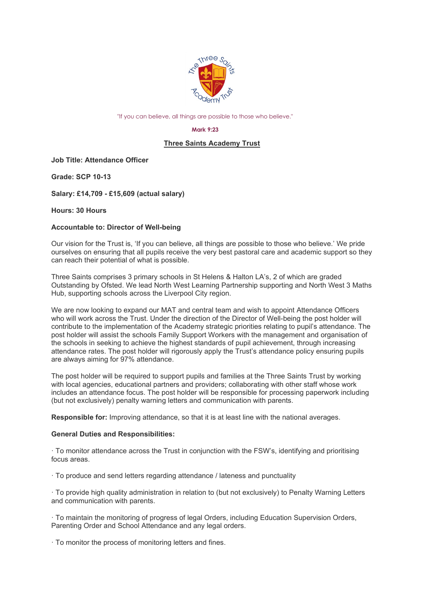

"If you can believe, all things are possible to those who believe."

#### **Mark 9:23**

# **Three Saints Academy Trust**

**Job Title: Attendance Officer**

**Grade: SCP 10-13**

**Salary: £14,709 - £15,609 (actual salary)**

**Hours: 30 Hours**

### **Accountable to: Director of Well-being**

Our vision for the Trust is, 'If you can believe, all things are possible to those who believe.' We pride ourselves on ensuring that all pupils receive the very best pastoral care and academic support so they can reach their potential of what is possible.

Three Saints comprises 3 primary schools in St Helens & Halton LA's, 2 of which are graded Outstanding by Ofsted. We lead North West Learning Partnership supporting and North West 3 Maths Hub, supporting schools across the Liverpool City region.

We are now looking to expand our MAT and central team and wish to appoint Attendance Officers who will work across the Trust. Under the direction of the Director of Well-being the post holder will contribute to the implementation of the Academy strategic priorities relating to pupil's attendance. The post holder will assist the schools Family Support Workers with the management and organisation of the schools in seeking to achieve the highest standards of pupil achievement, through increasing attendance rates. The post holder will rigorously apply the Trust's attendance policy ensuring pupils are always aiming for 97% attendance.

The post holder will be required to support pupils and families at the Three Saints Trust by working with local agencies, educational partners and providers; collaborating with other staff whose work includes an attendance focus. The post holder will be responsible for processing paperwork including (but not exclusively) penalty warning letters and communication with parents.

**Responsible for:** Improving attendance, so that it is at least line with the national averages.

#### **General Duties and Responsibilities:**

· To monitor attendance across the Trust in conjunction with the FSW's, identifying and prioritising focus areas.

· To produce and send letters regarding attendance / lateness and punctuality

· To provide high quality administration in relation to (but not exclusively) to Penalty Warning Letters and communication with parents.

· To maintain the monitoring of progress of legal Orders, including Education Supervision Orders, Parenting Order and School Attendance and any legal orders.

· To monitor the process of monitoring letters and fines.